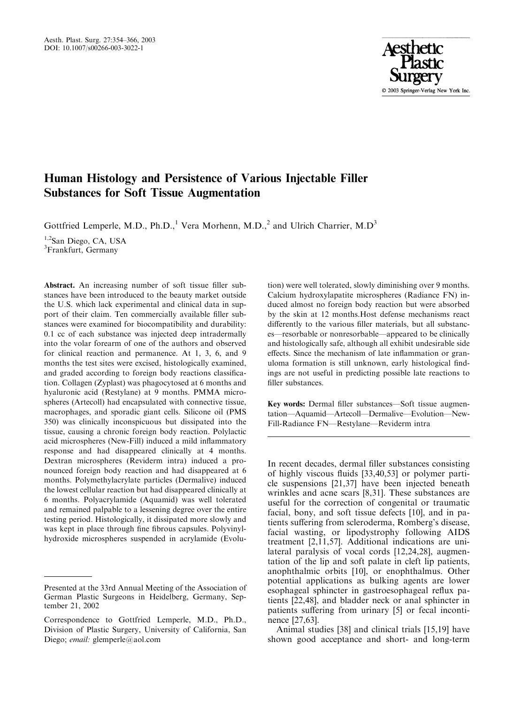Aesth. Plast. Surg. 27:354–366, 2003 DOI: 10.1007/s00266-003-3022-1



# Human Histology and Persistence of Various Injectable Filler Substances for Soft Tissue Augmentation

Gottfried Lemperle, M.D., Ph.D.,<sup>1</sup> Vera Morhenn, M.D.,<sup>2</sup> and Ulrich Charrier, M.D<sup>3</sup>

<sup>1,2</sup>San Diego, CA, USA <sup>3</sup>Frankfurt, Germany

Abstract. An increasing number of soft tissue filler substances have been introduced to the beauty market outside the U.S. which lack experimental and clinical data in support of their claim. Ten commercially available filler substances were examined for biocompatibility and durability: 0.1 cc of each substance was injected deep intradermally into the volar forearm of one of the authors and observed for clinical reaction and permanence. At 1, 3, 6, and 9 months the test sites were excised, histologically examined, and graded according to foreign body reactions classification. Collagen (Zyplast) was phagocytosed at 6 months and hyaluronic acid (Restylane) at 9 months. PMMA microspheres (Artecoll) had encapsulated with connective tissue, macrophages, and sporadic giant cells. Silicone oil (PMS 350) was clinically inconspicuous but dissipated into the tissue, causing a chronic foreign body reaction. Polylactic acid microspheres (New-Fill) induced a mild inflammatory response and had disappeared clinically at 4 months. Dextran microspheres (Reviderm intra) induced a pronounced foreign body reaction and had disappeared at 6 months. Polymethylacrylate particles (Dermalive) induced the lowest cellular reaction but had disappeared clinically at 6 months. Polyacrylamide (Aquamid) was well tolerated and remained palpable to a lessening degree over the entire testing period. Histologically, it dissipated more slowly and was kept in place through fine fibrous capsules. Polyvinylhydroxide microspheres suspended in acrylamide (Evolution) were well tolerated, slowly diminishing over 9 months. Calcium hydroxylapatite microspheres (Radiance FN) induced almost no foreign body reaction but were absorbed by the skin at 12 months.Host defense mechanisms react differently to the various filler materials, but all substances—resorbable or nonresorbable—appeared to be clinically and histologically safe, although all exhibit undesirable side effects. Since the mechanism of late inflammation or granuloma formation is still unknown, early histological findings are not useful in predicting possible late reactions to filler substances.

Key words: Dermal filler substances—Soft tissue augmentation—Aquamid—Artecoll—Dermalive—Evolution—New-Fill-Radiance FN—Restylane—Reviderm intra

In recent decades, dermal filler substances consisting of highly viscous fluids [33,40,53] or polymer particle suspensions [21,37] have been injected beneath wrinkles and acne scars [8,31]. These substances are useful for the correction of congenital or traumatic facial, bony, and soft tissue defects [10], and in patients suffering from scleroderma, Romberg's disease, facial wasting, or lipodystrophy following AIDS treatment [2,11,57]. Additional indications are unilateral paralysis of vocal cords [12,24,28], augmentation of the lip and soft palate in cleft lip patients, anophthalmic orbits [10], or enophthalmus. Other potential applications as bulking agents are lower esophageal sphincter in gastroesophageal reflux patients [22,48], and bladder neck or anal sphincter in patients suffering from urinary [5] or fecal incontinence [27,63].

Animal studies [38] and clinical trials [15,19] have shown good acceptance and short- and long-term

Presented at the 33rd Annual Meeting of the Association of German Plastic Surgeons in Heidelberg, Germany, September 21, 2002

Correspondence to Gottfried Lemperle, M.D., Ph.D., Division of Plastic Surgery, University of California, San Diego; *email:* glemperle@aol.com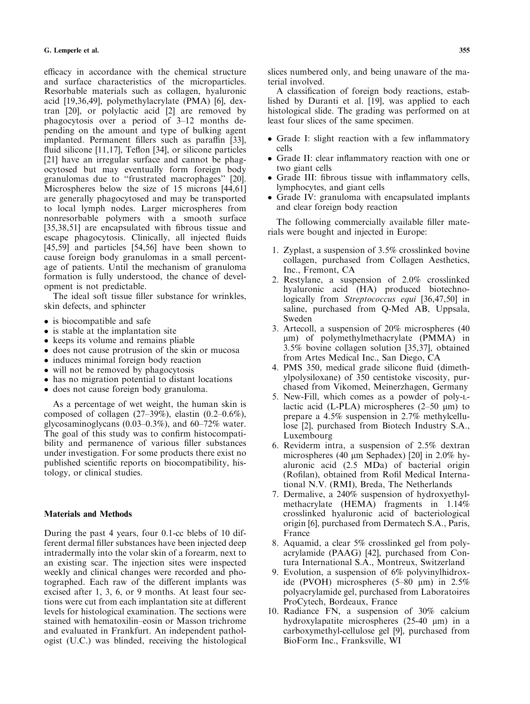efficacy in accordance with the chemical structure and surface characteristics of the microparticles. Resorbable materials such as collagen, hyaluronic acid [19,36,49], polymethylacrylate (PMA) [6], dextran [20], or polylactic acid [2] are removed by phagocytosis over a period of 3–12 months depending on the amount and type of bulking agent implanted. Permanent fillers such as paraffin [33], fluid silicone [11,17], Teflon [34], or silicone particles [21] have an irregular surface and cannot be phagocytosed but may eventually form foreign body granulomas due to ''frustrated macrophages'' [20]. Microspheres below the size of 15 microns [44,61] are generally phagocytosed and may be transported to local lymph nodes. Larger microspheres from nonresorbable polymers with a smooth surface [35,38,51] are encapsulated with fibrous tissue and escape phagocytosis. Clinically, all injected fluids [45,59] and particles [54,56] have been shown to cause foreign body granulomas in a small percentage of patients. Until the mechanism of granuloma formation is fully understood, the chance of development is not predictable.

The ideal soft tissue filler substance for wrinkles, skin defects, and sphincter

- is biocompatible and safe
- is stable at the implantation site
- keeps its volume and remains pliable
- does not cause protrusion of the skin or mucosa
- induces minimal foreign body reaction
- will not be removed by phagocytosis
- has no migration potential to distant locations
- does not cause foreign body granuloma.

As a percentage of wet weight, the human skin is composed of collagen (27–39%), elastin (0.2–0.6%), glycosaminoglycans (0.03–0.3%), and 60–72% water. The goal of this study was to confirm histocompatibility and permanence of various filler substances under investigation. For some products there exist no published scientific reports on biocompatibility, histology, or clinical studies.

#### Materials and Methods

During the past 4 years, four 0.1-cc blebs of 10 different dermal filler substances have been injected deep intradermally into the volar skin of a forearm, next to an existing scar. The injection sites were inspected weekly and clinical changes were recorded and photographed. Each raw of the different implants was excised after 1, 3, 6, or 9 months. At least four sections were cut from each implantation site at different levels for histological examination. The sections were stained with hematoxilin–eosin or Masson trichrome and evaluated in Frankfurt. An independent pathologist (U.C.) was blinded, receiving the histological

slices numbered only, and being unaware of the material involved.

A classification of foreign body reactions, established by Duranti et al. [19], was applied to each histological slide. The grading was performed on at least four slices of the same specimen.

- Grade I: slight reaction with a few inflammatory cells
- Grade II: clear inflammatory reaction with one or two giant cells
- Grade III: fibrous tissue with inflammatory cells, lymphocytes, and giant cells
- Grade IV: granuloma with encapsulated implants and clear foreign body reaction

The following commercially available filler materials were bought and injected in Europe:

- 1. Zyplast, a suspension of 3.5% crosslinked bovine collagen, purchased from Collagen Aesthetics, Inc., Fremont, CA
- 2. Restylane, a suspension of 2.0% crosslinked hyaluronic acid (HA) produced biotechnologically from *Streptococcus equi* [36,47,50] in saline, purchased from Q-Med AB, Uppsala, Sweden
- 3. Artecoll, a suspension of 20% microspheres (40  $\mu$ m) of polymethylmethacrylate (PMMA) in 3.5% bovine collagen solution [35,37], obtained from Artes Medical Inc., San Diego, CA
- 4. PMS 350, medical grade silicone fluid (dimethylpolysiloxane) of 350 centistoke viscosity, purchased from Vikomed, Meinerzhagen, Germany
- 5. New-Fill, which comes as a powder of poly-Llactic acid (L-PLA) microspheres  $(2-50 \text{ }\mu\text{m})$  to prepare a 4.5% suspension in 2.7% methylcellulose [2], purchased from Biotech Industry S.A., Luxembourg
- 6. Reviderm intra, a suspension of 2.5% dextran microspheres (40  $\mu$ m Sephadex) [20] in 2.0% hyaluronic acid (2.5 MDa) of bacterial origin (Rofilan), obtained from Rofil Medical International N.V. (RMI), Breda, The Netherlands
- 7. Dermalive, a 240% suspension of hydroxyethylmethacrylate (HEMA) fragments in 1.14% crosslinked hyaluronic acid of bacteriological origin [6], purchased from Dermatech S.A., Paris, France
- 8. Aquamid, a clear 5% crosslinked gel from polyacrylamide (PAAG) [42], purchased from Contura International S.A., Montreux, Switzerland
- 9. Evolution, a suspension of 6% polyvinylhidroxide (PVOH) microspheres  $(5-80 \mu m)$  in 2.5% polyacrylamide gel, purchased from Laboratoires ProCytech, Bordeaux, France
- 10. Radiance FN, a suspension of 30% calcium hydroxylapatite microspheres  $(25-40 \mu m)$  in a carboxymethyl-cellulose gel [9], purchased from BioForm Inc., Franksville, WI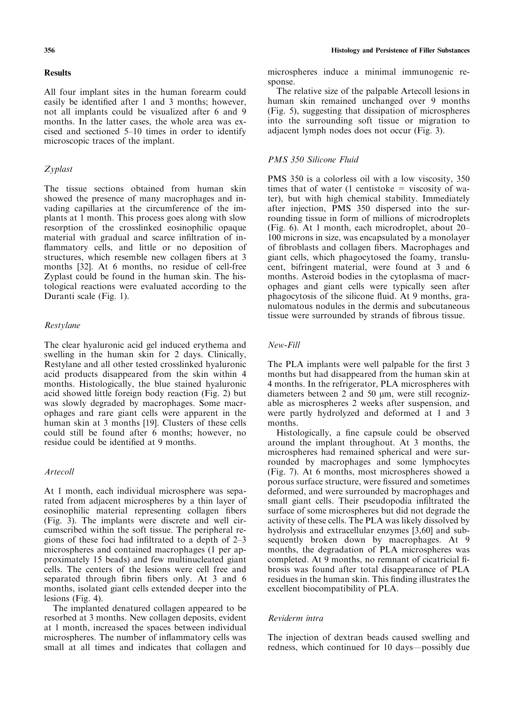### **Results**

All four implant sites in the human forearm could easily be identified after 1 and 3 months; however, not all implants could be visualized after 6 and 9 months. In the latter cases, the whole area was excised and sectioned 5–10 times in order to identify microscopic traces of the implant.

# Zyplast

The tissue sections obtained from human skin showed the presence of many macrophages and invading capillaries at the circumference of the implants at 1 month. This process goes along with slow resorption of the crosslinked eosinophilic opaque material with gradual and scarce infiltration of inflammatory cells, and little or no deposition of structures, which resemble new collagen fibers at 3 months [32]. At 6 months, no residue of cell-free Zyplast could be found in the human skin. The histological reactions were evaluated according to the Duranti scale (Fig. 1).

# Restylane

The clear hyaluronic acid gel induced erythema and swelling in the human skin for 2 days. Clinically, Restylane and all other tested crosslinked hyaluronic acid products disappeared from the skin within 4 months. Histologically, the blue stained hyaluronic acid showed little foreign body reaction (Fig. 2) but was slowly degraded by macrophages. Some macrophages and rare giant cells were apparent in the human skin at 3 months [19]. Clusters of these cells could still be found after 6 months; however, no residue could be identified at 9 months.

# Artecoll

At 1 month, each individual microsphere was separated from adjacent microspheres by a thin layer of eosinophilic material representing collagen fibers (Fig. 3). The implants were discrete and well circumscribed within the soft tissue. The peripheral regions of these foci had infiltrated to a depth of 2–3 microspheres and contained macrophages (1 per approximately 15 beads) and few multinucleated giant cells. The centers of the lesions were cell free and separated through fibrin fibers only. At 3 and 6 months, isolated giant cells extended deeper into the lesions (Fig. 4).

The implanted denatured collagen appeared to be resorbed at 3 months. New collagen deposits, evident at 1 month, increased the spaces between individual microspheres. The number of inflammatory cells was small at all times and indicates that collagen and microspheres induce a minimal immunogenic response.

The relative size of the palpable Artecoll lesions in human skin remained unchanged over 9 months (Fig. 5), suggesting that dissipation of microspheres into the surrounding soft tissue or migration to adjacent lymph nodes does not occur (Fig. 3).

# PMS 350 Silicone Fluid

PMS 350 is a colorless oil with a low viscosity, 350 times that of water (1 centistoke  $=$  viscosity of water), but with high chemical stability. Immediately after injection, PMS 350 dispersed into the surrounding tissue in form of millions of microdroplets (Fig. 6). At 1 month, each microdroplet, about 20– 100 microns in size, was encapsulated by a monolayer of fibroblasts and collagen fibers. Macrophages and giant cells, which phagocytosed the foamy, translucent, bifringent material, were found at 3 and 6 months. Asteroid bodies in the cytoplasma of macrophages and giant cells were typically seen after phagocytosis of the silicone fluid. At 9 months, granulomatous nodules in the dermis and subcutaneous tissue were surrounded by strands of fibrous tissue.

### New-Fill

The PLA implants were well palpable for the first 3 months but had disappeared from the human skin at 4 months. In the refrigerator, PLA microspheres with diameters between 2 and 50  $\mu$ m, were still recognizable as microspheres 2 weeks after suspension, and were partly hydrolyzed and deformed at 1 and 3 months.

Histologically, a fine capsule could be observed around the implant throughout. At 3 months, the microspheres had remained spherical and were surrounded by macrophages and some lymphocytes (Fig. 7). At 6 months, most microspheres showed a porous surface structure, were fissured and sometimes deformed, and were surrounded by macrophages and small giant cells. Their pseudopodia infiltrated the surface of some microspheres but did not degrade the activity of these cells. The PLA was likely dissolved by hydrolysis and extracellular enzymes [3,60] and subsequently broken down by macrophages. At 9 months, the degradation of PLA microspheres was completed. At 9 months, no remnant of cicatricial fibrosis was found after total disappearance of PLA residues in the human skin. This finding illustrates the excellent biocompatibility of PLA.

## Reviderm intra

The injection of dextran beads caused swelling and redness, which continued for 10 days—possibly due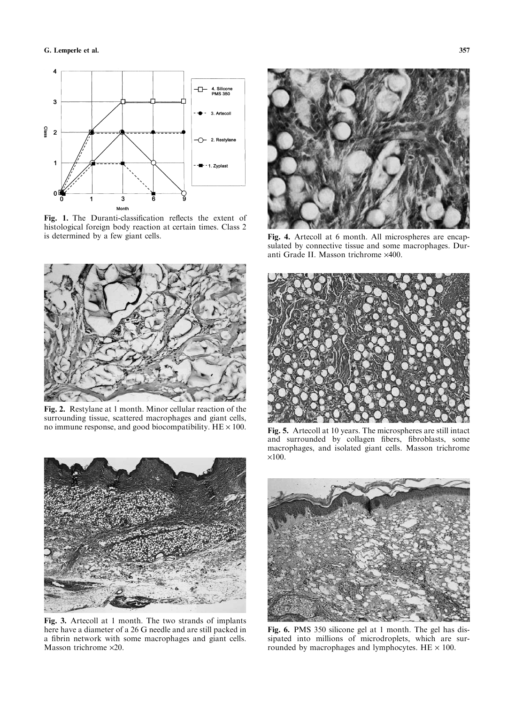

Fig. 1. The Duranti-classification reflects the extent of histological foreign body reaction at certain times. Class 2 is determined by a few giant cells.



Fig. 2. Restylane at 1 month. Minor cellular reaction of the surrounding tissue, scattered macrophages and giant cells, no immune response, and good biocompatibility.  $HE \times 100$ .



Fig. 4. Artecoll at 6 month. All microspheres are encapsulated by connective tissue and some macrophages. Duranti Grade II. Masson trichrome ×400.



Fig. 5. Artecoll at 10 years. The microspheres are still intact and surrounded by collagen fibers, fibroblasts, some macrophages, and isolated giant cells. Masson trichrome  $\times$ 100.



Fig. 3. Artecoll at 1 month. The two strands of implants here have a diameter of a 26 G needle and are still packed in a fibrin network with some macrophages and giant cells. Masson trichrome  $\times 20$ .



Fig. 6. PMS 350 silicone gel at 1 month. The gel has dissipated into millions of microdroplets, which are surrounded by macrophages and lymphocytes.  $HE \times 100$ .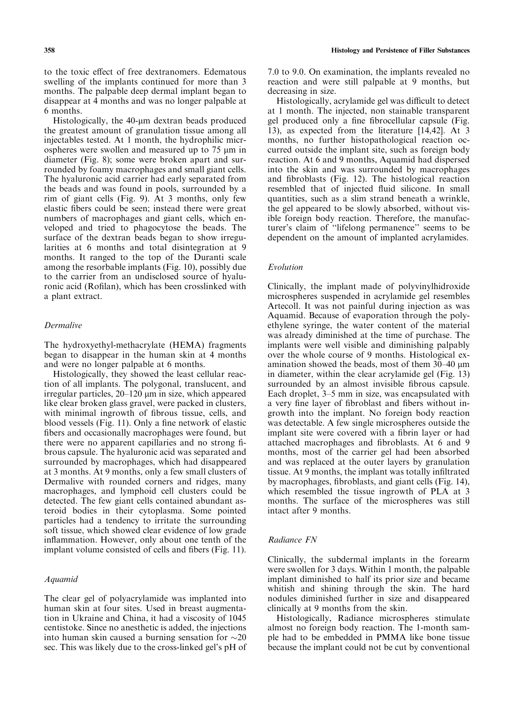to the toxic effect of free dextranomers. Edematous swelling of the implants continued for more than 3 months. The palpable deep dermal implant began to disappear at 4 months and was no longer palpable at 6 months.

Histologically, the 40-um dextran beads produced the greatest amount of granulation tissue among all injectables tested. At 1 month, the hydrophilic microspheres were swollen and measured up to  $75 \mu m$  in diameter (Fig. 8); some were broken apart and surrounded by foamy macrophages and small giant cells. The hyaluronic acid carrier had early separated from the beads and was found in pools, surrounded by a rim of giant cells (Fig. 9). At 3 months, only few elastic fibers could be seen; instead there were great numbers of macrophages and giant cells, which enveloped and tried to phagocytose the beads. The surface of the dextran beads began to show irregularities at 6 months and total disintegration at 9 months. It ranged to the top of the Duranti scale among the resorbable implants (Fig. 10), possibly due to the carrier from an undisclosed source of hyaluronic acid (Rofilan), which has been crosslinked with a plant extract.

#### Dermalive

The hydroxyethyl-methacrylate (HEMA) fragments began to disappear in the human skin at 4 months and were no longer palpable at 6 months.

Histologically, they showed the least cellular reaction of all implants. The polygonal, translucent, and irregular particles,  $20-120 \mu m$  in size, which appeared like clear broken glass gravel, were packed in clusters, with minimal ingrowth of fibrous tissue, cells, and blood vessels (Fig. 11). Only a fine network of elastic fibers and occasionally macrophages were found, but there were no apparent capillaries and no strong fibrous capsule. The hyaluronic acid was separated and surrounded by macrophages, which had disappeared at 3 months. At 9 months, only a few small clusters of Dermalive with rounded corners and ridges, many macrophages, and lymphoid cell clusters could be detected. The few giant cells contained abundant asteroid bodies in their cytoplasma. Some pointed particles had a tendency to irritate the surrounding soft tissue, which showed clear evidence of low grade inflammation. However, only about one tenth of the implant volume consisted of cells and fibers (Fig. 11).

#### Aquamid

The clear gel of polyacrylamide was implanted into human skin at four sites. Used in breast augmentation in Ukraine and China, it had a viscosity of 1045 centistoke. Since no anesthetic is added, the injections into human skin caused a burning sensation for  $\sim$ 20 sec. This was likely due to the cross-linked gel's pH of 7.0 to 9.0. On examination, the implants revealed no reaction and were still palpable at 9 months, but decreasing in size.

Histologically, acrylamide gel was difficult to detect at 1 month. The injected, non stainable transparent gel produced only a fine fibrocellular capsule (Fig. 13), as expected from the literature [14,42]. At 3 months, no further histopathological reaction occurred outside the implant site, such as foreign body reaction. At 6 and 9 months, Aquamid had dispersed into the skin and was surrounded by macrophages and fibroblasts (Fig. 12). The histological reaction resembled that of injected fluid silicone. In small quantities, such as a slim strand beneath a wrinkle, the gel appeared to be slowly absorbed, without visible foreign body reaction. Therefore, the manufacturer's claim of ''lifelong permanence'' seems to be dependent on the amount of implanted acrylamides.

#### Evolution

Clinically, the implant made of polyvinylhidroxide microspheres suspended in acrylamide gel resembles Artecoll. It was not painful during injection as was Aquamid. Because of evaporation through the polyethylene syringe, the water content of the material was already diminished at the time of purchase. The implants were well visible and diminishing palpably over the whole course of 9 months. Histological examination showed the beads, most of them  $30-40 \mu m$ in diameter, within the clear acrylamide gel (Fig. 13) surrounded by an almost invisible fibrous capsule. Each droplet, 3–5 mm in size, was encapsulated with a very fine layer of fibroblast and fibers without ingrowth into the implant. No foreign body reaction was detectable. A few single microspheres outside the implant site were covered with a fibrin layer or had attached macrophages and fibroblasts. At 6 and 9 months, most of the carrier gel had been absorbed and was replaced at the outer layers by granulation tissue. At 9 months, the implant was totally infiltrated by macrophages, fibroblasts, and giant cells (Fig. 14), which resembled the tissue ingrowth of PLA at 3 months. The surface of the microspheres was still intact after 9 months.

#### Radiance FN

Clinically, the subdermal implants in the forearm were swollen for 3 days. Within 1 month, the palpable implant diminished to half its prior size and became whitish and shining through the skin. The hard nodules diminished further in size and disappeared clinically at 9 months from the skin.

Histologically, Radiance microspheres stimulate almost no foreign body reaction. The 1-month sample had to be embedded in PMMA like bone tissue because the implant could not be cut by conventional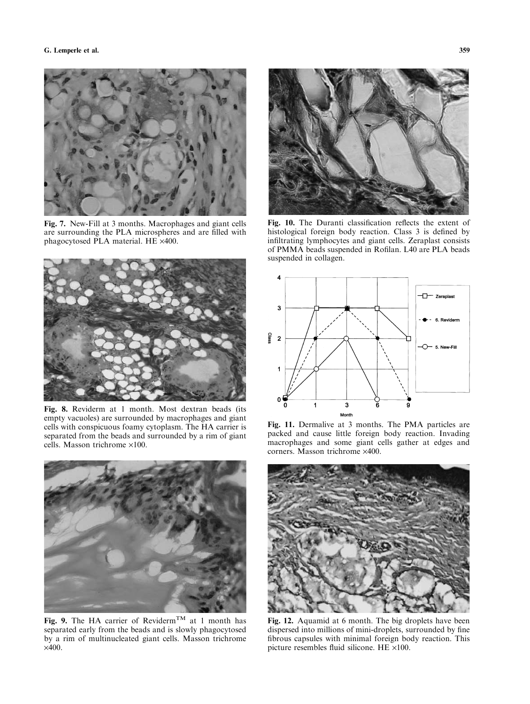

Fig. 7. New-Fill at 3 months. Macrophages and giant cells are surrounding the PLA microspheres and are filled with phagocytosed PLA material. HE  $\times$ 400.



Fig. 8. Reviderm at 1 month. Most dextran beads (its empty vacuoles) are surrounded by macrophages and giant cells with conspicuous foamy cytoplasm. The HA carrier is separated from the beads and surrounded by a rim of giant cells. Masson trichrome  $\times 100$ .



Fig. 9. The HA carrier of Reviderm<sup>TM</sup> at 1 month has separated early from the beads and is slowly phagocytosed by a rim of multinucleated giant cells. Masson trichrome  $\times$ 400.



Fig. 10. The Duranti classification reflects the extent of histological foreign body reaction. Class 3 is defined by infiltrating lymphocytes and giant cells. Zeraplast consists of PMMA beads suspended in Rofilan. L40 are PLA beads suspended in collagen.



Fig. 11. Dermalive at 3 months. The PMA particles are packed and cause little foreign body reaction. Invading macrophages and some giant cells gather at edges and  $corners. Masson trichrome  $\times 400$ .$ 



Fig. 12. Aquamid at 6 month. The big droplets have been dispersed into millions of mini-droplets, surrounded by fine fibrous capsules with minimal foreign body reaction. This picture resembles fluid silicone. HE  $\times$ 100.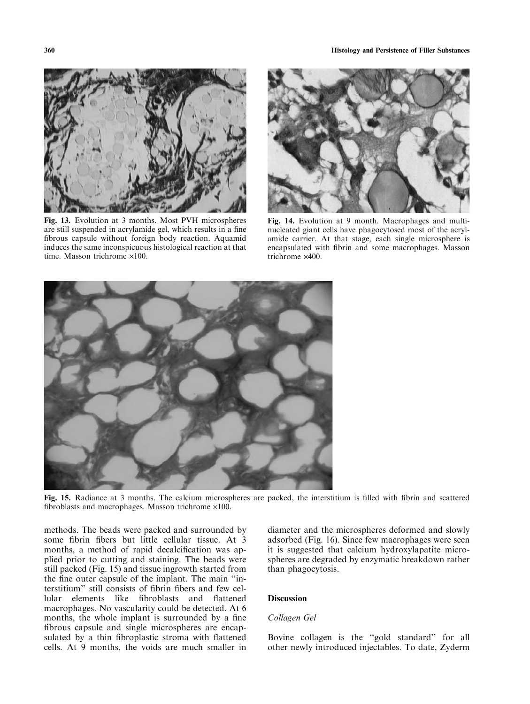

Fig. 13. Evolution at 3 months. Most PVH microspheres are still suspended in acrylamide gel, which results in a fine fibrous capsule without foreign body reaction. Aquamid induces the same inconspicuous histological reaction at that time. Masson trichrome  $\times 100$ .



Fig. 14. Evolution at 9 month. Macrophages and multinucleated giant cells have phagocytosed most of the acrylamide carrier. At that stage, each single microsphere is encapsulated with fibrin and some macrophages. Masson trichrome  $\times$ 400.



Fig. 15. Radiance at 3 months. The calcium microspheres are packed, the interstitium is filled with fibrin and scattered fibroblasts and macrophages. Masson trichrome  $\times 100$ .

methods. The beads were packed and surrounded by some fibrin fibers but little cellular tissue. At 3 months, a method of rapid decalcification was applied prior to cutting and staining. The beads were still packed (Fig. 15) and tissue ingrowth started from the fine outer capsule of the implant. The main ''interstitium'' still consists of fibrin fibers and few cellular elements like fibroblasts and flattened macrophages. No vascularity could be detected. At 6 months, the whole implant is surrounded by a fine fibrous capsule and single microspheres are encapsulated by a thin fibroplastic stroma with flattened cells. At 9 months, the voids are much smaller in diameter and the microspheres deformed and slowly adsorbed (Fig. 16). Since few macrophages were seen it is suggested that calcium hydroxylapatite microspheres are degraded by enzymatic breakdown rather than phagocytosis.

#### **Discussion**

#### Collagen Gel

Bovine collagen is the ''gold standard'' for all other newly introduced injectables. To date, Zyderm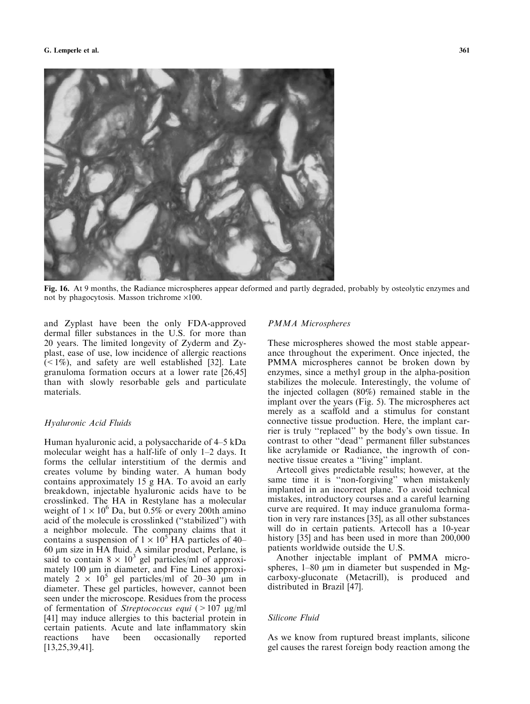

Fig. 16. At 9 months, the Radiance microspheres appear deformed and partly degraded, probably by osteolytic enzymes and not by phagocytosis. Masson trichrome  $\times 100$ .

and Zyplast have been the only FDA-approved dermal filler substances in the U.S. for more than 20 years. The limited longevity of Zyderm and Zyplast, ease of use, low incidence of allergic reactions  $(1\%)$ , and safety are well established [32]. Late granuloma formation occurs at a lower rate [26,45] than with slowly resorbable gels and particulate materials.

#### Hyaluronic Acid Fluids

Human hyaluronic acid, a polysaccharide of 4–5 kDa molecular weight has a half-life of only 1–2 days. It forms the cellular interstitium of the dermis and creates volume by binding water. A human body contains approximately 15 g HA. To avoid an early breakdown, injectable hyaluronic acids have to be crosslinked. The HA in Restylane has a molecular weight of  $1 \times 10^6$  Da, but 0.5% or every 200th amino acid of the molecule is crosslinked (''stabilized'') with a neighbor molecule. The company claims that it contains a suspension of  $1 \times 10^5$  HA particles of 40– 60 lm size in HA fluid. A similar product, Perlane, is said to contain  $8 \times 10^3$  gel particles/ml of approximately  $100 \mu m$  in diameter, and Fine Lines approximately  $2 \times 10^5$  gel particles/ml of 20–30 µm in diameter. These gel particles, however, cannot been seen under the microscope. Residues from the process of fermentation of *Streptococcus equi* ( $>107 \mu g/ml$ [41] may induce allergies to this bacterial protein in certain patients. Acute and late inflammatory skin reactions have been occasionally reported [13,25,39,41].

### PMMA Microspheres

These microspheres showed the most stable appearance throughout the experiment. Once injected, the PMMA microspheres cannot be broken down by enzymes, since a methyl group in the alpha-position stabilizes the molecule. Interestingly, the volume of the injected collagen (80%) remained stable in the implant over the years (Fig. 5). The microspheres act merely as a scaffold and a stimulus for constant connective tissue production. Here, the implant carrier is truly ''replaced'' by the body's own tissue. In contrast to other ''dead'' permanent filler substances like acrylamide or Radiance, the ingrowth of connective tissue creates a ''living'' implant.

Artecoll gives predictable results; however, at the same time it is ''non-forgiving'' when mistakenly implanted in an incorrect plane. To avoid technical mistakes, introductory courses and a careful learning curve are required. It may induce granuloma formation in very rare instances [35], as all other substances will do in certain patients. Artecoll has a 10-year history [35] and has been used in more than 200,000 patients worldwide outside the U.S.

Another injectable implant of PMMA microspheres,  $1-80 \mu m$  in diameter but suspended in Mgcarboxy-gluconate (Metacrill), is produced and distributed in Brazil [47].

## Silicone Fluid

As we know from ruptured breast implants, silicone gel causes the rarest foreign body reaction among the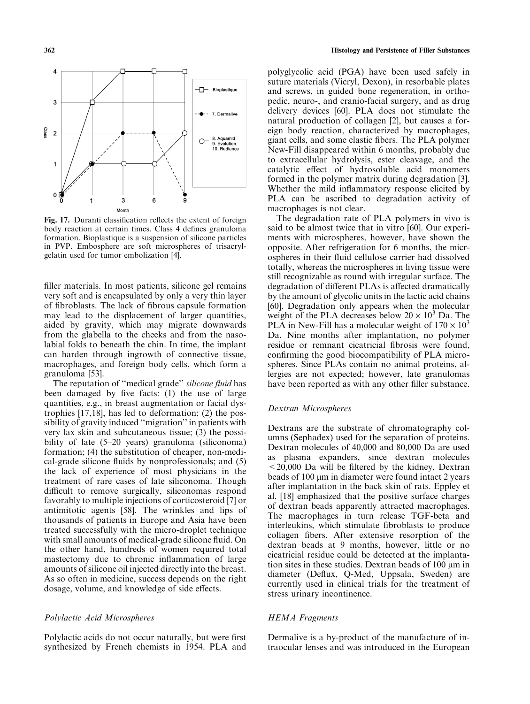

Fig. 17. Duranti classification reflects the extent of foreign body reaction at certain times. Class 4 defines granuloma formation. Bioplastique is a suspension of silicone particles in PVP. Embosphere are soft microspheres of trisacrylgelatin used for tumor embolization [4].

filler materials. In most patients, silicone gel remains very soft and is encapsulated by only a very thin layer of fibroblasts. The lack of fibrous capsule formation may lead to the displacement of larger quantities, aided by gravity, which may migrate downwards from the glabella to the cheeks and from the nasolabial folds to beneath the chin. In time, the implant can harden through ingrowth of connective tissue, macrophages, and foreign body cells, which form a granuloma [53].

The reputation of "medical grade" silicone fluid has been damaged by five facts: (1) the use of large quantities, e.g., in breast augmentation or facial dystrophies [17,18], has led to deformation; (2) the possibility of gravity induced ''migration'' in patients with very lax skin and subcutaneous tissue; (3) the possibility of late (5–20 years) granuloma (siliconoma) formation; (4) the substitution of cheaper, non-medical-grade silicone fluids by nonprofessionals; and (5) the lack of experience of most physicians in the treatment of rare cases of late siliconoma. Though difficult to remove surgically, siliconomas respond favorably to multiple injections of corticosteroid [7] or antimitotic agents [58]. The wrinkles and lips of thousands of patients in Europe and Asia have been treated successfully with the micro-droplet technique with small amounts of medical-grade silicone fluid. On the other hand, hundreds of women required total mastectomy due to chronic inflammation of large amounts of silicone oil injected directly into the breast. As so often in medicine, success depends on the right dosage, volume, and knowledge of side effects.

#### Polylactic Acid Microspheres

Polylactic acids do not occur naturally, but were first synthesized by French chemists in 1954. PLA and polyglycolic acid (PGA) have been used safely in suture materials (Vicryl, Dexon), in resorbable plates and screws, in guided bone regeneration, in orthopedic, neuro-, and cranio-facial surgery, and as drug delivery devices [60]. PLA does not stimulate the natural production of collagen [2], but causes a foreign body reaction, characterized by macrophages, giant cells, and some elastic fibers. The PLA polymer New-Fill disappeared within 6 months, probably due to extracellular hydrolysis, ester cleavage, and the catalytic effect of hydrosoluble acid monomers formed in the polymer matrix during degradation [3]. Whether the mild inflammatory response elicited by PLA can be ascribed to degradation activity of macrophages is not clear.

The degradation rate of PLA polymers in vivo is said to be almost twice that in vitro [60]. Our experiments with microspheres, however, have shown the opposite. After refrigeration for 6 months, the microspheres in their fluid cellulose carrier had dissolved totally, whereas the microspheres in living tissue were still recognizable as round with irregular surface. The degradation of different PLAs is affected dramatically by the amount of glycolic units in the lactic acid chains [60]. Degradation only appears when the molecular weight of the PLA decreases below  $20 \times 10^3$  Da. The PLA in New-Fill has a molecular weight of  $170 \times 10^3$ Da. Nine months after implantation, no polymer residue or remnant cicatricial fibrosis were found, confirming the good biocompatibility of PLA microspheres. Since PLAs contain no animal proteins, allergies are not expected; however, late granulomas have been reported as with any other filler substance.

## Dextran Microspheres

Dextrans are the substrate of chromatography columns (Sephadex) used for the separation of proteins. Dextran molecules of 40,000 and 80,000 Da are used as plasma expanders, since dextran molecules  $\leq$  20,000 Da will be filtered by the kidney. Dextran beads of 100  $\mu$ m in diameter were found intact 2 years after implantation in the back skin of rats. Eppley et al. [18] emphasized that the positive surface charges of dextran beads apparently attracted macrophages. The macrophages in turn release TGF-beta and interleukins, which stimulate fibroblasts to produce collagen fibers. After extensive resorption of the dextran beads at 9 months, however, little or no cicatricial residue could be detected at the implantation sites in these studies. Dextran beads of 100  $\mu$ m in diameter (Deflux, Q-Med, Uppsala, Sweden) are currently used in clinical trials for the treatment of stress urinary incontinence.

## HEMA Fragments

Dermalive is a by-product of the manufacture of intraocular lenses and was introduced in the European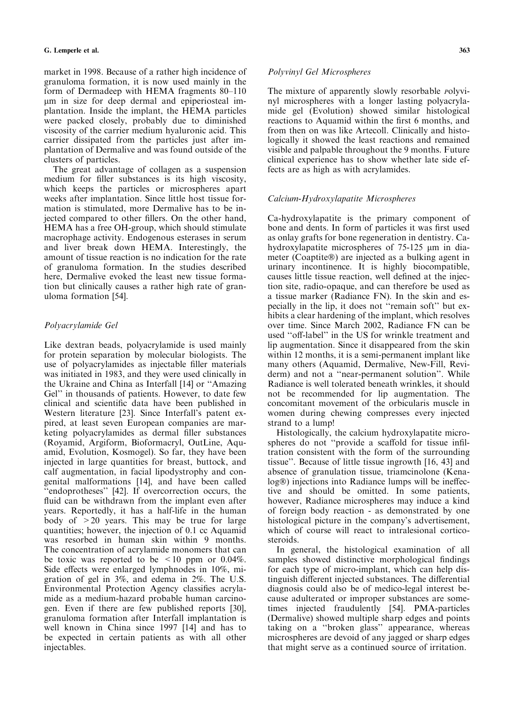market in 1998. Because of a rather high incidence of granuloma formation, it is now used mainly in the form of Dermadeep with HEMA fragments 80–110 lm in size for deep dermal and epiperiosteal implantation. Inside the implant, the HEMA particles were packed closely, probably due to diminished viscosity of the carrier medium hyaluronic acid. This carrier dissipated from the particles just after implantation of Dermalive and was found outside of the clusters of particles.

The great advantage of collagen as a suspension medium for filler substances is its high viscosity, which keeps the particles or microspheres apart weeks after implantation. Since little host tissue formation is stimulated, more Dermalive has to be injected compared to other fillers. On the other hand, HEMA has a free OH-group, which should stimulate macrophage activity. Endogenous esterases in serum and liver break down HEMA. Interestingly, the amount of tissue reaction is no indication for the rate of granuloma formation. In the studies described here, Dermalive evoked the least new tissue formation but clinically causes a rather high rate of granuloma formation [54].

# Polyacrylamide Gel

Like dextran beads, polyacrylamide is used mainly for protein separation by molecular biologists. The use of polyacrylamides as injectable filler materials was initiated in 1983, and they were used clinically in the Ukraine and China as Interfall [14] or ''Amazing Gel'' in thousands of patients. However, to date few clinical and scientific data have been published in Western literature [23]. Since Interfall's patent expired, at least seven European companies are marketing polyacrylamides as dermal filler substances (Royamid, Argiform, Bioformacryl, OutLine, Aquamid, Evolution, Kosmogel). So far, they have been injected in large quantities for breast, buttock, and calf augmentation, in facial lipodystrophy and congenital malformations [14], and have been called "endoprotheses" [42]. If overcorrection occurs, the fluid can be withdrawn from the implant even after years. Reportedly, it has a half-life in the human body of  $>20$  years. This may be true for large quantities; however, the injection of 0.1 cc Aquamid was resorbed in human skin within 9 months. The concentration of acrylamide monomers that can be toxic was reported to be  $\leq 10$  ppm or 0.04%. Side effects were enlarged lymphnodes in 10%, migration of gel in 3%, and edema in 2%. The U.S. Environmental Protection Agency classifies acrylamide as a medium-hazard probable human carcinogen. Even if there are few published reports [30], granuloma formation after Interfall implantation is well known in China since 1997 [14] and has to be expected in certain patients as with all other injectables.

## Polyvinyl Gel Microspheres

The mixture of apparently slowly resorbable *Polyvi*nyl microspheres with a longer lasting polyacrylamide gel (Evolution) showed similar histological reactions to Aquamid within the first 6 months, and from then on was like Artecoll. Clinically and histologically it showed the least reactions and remained visible and palpable throughout the 9 months. Future clinical experience has to show whether late side effects are as high as with acrylamides.

# Calcium-Hydroxylapatite Microspheres

Ca-hydroxylapatite is the primary component of bone and dents. In form of particles it was first used as onlay grafts for bone regeneration in dentistry. Cahydroxylapatite microspheres of  $75-125 \mu m$  in diameter (Coaptite-) are injected as a bulking agent in urinary incontinence. It is highly biocompatible, causes little tissue reaction, well defined at the injection site, radio-opaque, and can therefore be used as a tissue marker (Radiance FN). In the skin and especially in the lip, it does not ''remain soft'' but exhibits a clear hardening of the implant, which resolves over time. Since March 2002, Radiance FN can be used ''off-label'' in the US for wrinkle treatment and lip augmentation. Since it disappeared from the skin within 12 months, it is a semi-permanent implant like many others (Aquamid, Dermalive, New-Fill, Reviderm) and not a ''near-permanent solution''. While Radiance is well tolerated beneath wrinkles, it should not be recommended for lip augmentation. The concomitant movement of the orbicularis muscle in women during chewing compresses every injected strand to a lump!

Histologically, the calcium hydroxylapatite microspheres do not ''provide a scaffold for tissue infiltration consistent with the form of the surrounding tissue''. Because of little tissue ingrowth [16, 43] and absence of granulation tissue, triamcinolone (Kenalog®) injections into Radiance lumps will be ineffective and should be omitted. In some patients, however, Radiance microspheres may induce a kind of foreign body reaction - as demonstrated by one histological picture in the company's advertisement, which of course will react to intralesional corticosteroids.

In general, the histological examination of all samples showed distinctive morphological findings for each type of micro-implant, which can help distinguish different injected substances. The differential diagnosis could also be of medico-legal interest because adulterated or improper substances are sometimes injected fraudulently [54]. PMA-particles (Dermalive) showed multiple sharp edges and points taking on a ''broken glass'' appearance, whereas microspheres are devoid of any jagged or sharp edges that might serve as a continued source of irritation.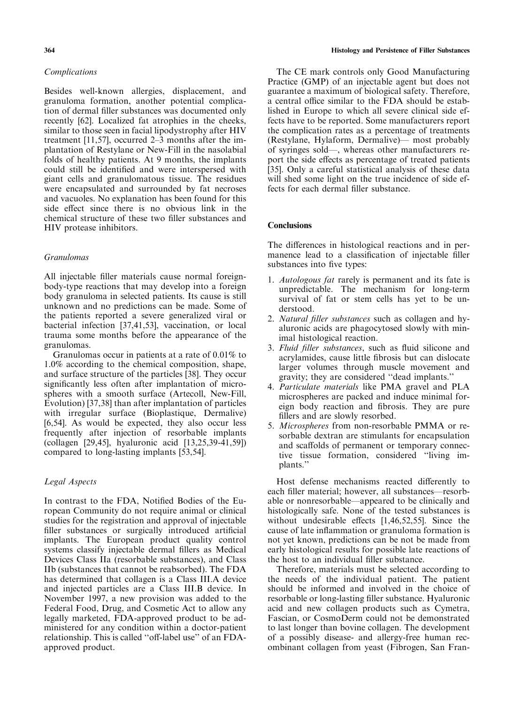## Complications

Besides well-known allergies, displacement, and granuloma formation, another potential complication of dermal filler substances was documented only recently [62]. Localized fat atrophies in the cheeks, similar to those seen in facial lipodystrophy after HIV treatment [11,57], occurred 2–3 months after the implantation of Restylane or New-Fill in the nasolabial folds of healthy patients. At 9 months, the implants could still be identified and were interspersed with giant cells and granulomatous tissue. The residues were encapsulated and surrounded by fat necroses and vacuoles. No explanation has been found for this side effect since there is no obvious link in the chemical structure of these two filler substances and HIV protease inhibitors.

## Granulomas

All injectable filler materials cause normal foreignbody-type reactions that may develop into a foreign body granuloma in selected patients. Its cause is still unknown and no predictions can be made. Some of the patients reported a severe generalized viral or bacterial infection [37,41,53], vaccination, or local trauma some months before the appearance of the granulomas.

Granulomas occur in patients at a rate of 0.01% to 1.0% according to the chemical composition, shape, and surface structure of the particles [38]. They occur significantly less often after implantation of microspheres with a smooth surface (Artecoll, New-Fill, Evolution) [37,38] than after implantation of particles with irregular surface (Bioplastique, Dermalive) [6,54]. As would be expected, they also occur less frequently after injection of resorbable implants (collagen [29,45], hyaluronic acid [13,25,39-41,59]) compared to long-lasting implants [53,54].

## Legal Aspects

In contrast to the FDA, Notified Bodies of the European Community do not require animal or clinical studies for the registration and approval of injectable filler substances or surgically introduced artificial implants. The European product quality control systems classify injectable dermal fillers as Medical Devices Class IIa (resorbable substances), and Class IIb (substances that cannot be reabsorbed). The FDA has determined that collagen is a Class III.A device and injected particles are a Class III.B device. In November 1997, a new provision was added to the Federal Food, Drug, and Cosmetic Act to allow any legally marketed, FDA-approved product to be administered for any condition within a doctor-patient relationship. This is called ''off-label use'' of an FDAapproved product.

The CE mark controls only Good Manufacturing Practice (GMP) of an injectable agent but does not guarantee a maximum of biological safety. Therefore, a central office similar to the FDA should be established in Europe to which all severe clinical side effects have to be reported. Some manufacturers report the complication rates as a percentage of treatments (Restylane, Hylaform, Dermalive)— most probably of syringes sold—, whereas other manufacturers report the side effects as percentage of treated patients [35]. Only a careful statistical analysis of these data will shed some light on the true incidence of side effects for each dermal filler substance.

## **Conclusions**

The differences in histological reactions and in permanence lead to a classification of injectable filler substances into five types:

- 1. Autologous fat rarely is permanent and its fate is unpredictable. The mechanism for long-term survival of fat or stem cells has yet to be understood.
- 2. Natural filler substances such as collagen and hyaluronic acids are phagocytosed slowly with minimal histological reaction.
- 3. Fluid filler substances, such as fluid silicone and acrylamides, cause little fibrosis but can dislocate larger volumes through muscle movement and gravity; they are considered ''dead implants.''
- 4. Particulate materials like PMA gravel and PLA microspheres are packed and induce minimal foreign body reaction and fibrosis. They are pure fillers and are slowly resorbed.
- 5. Microspheres from non-resorbable PMMA or resorbable dextran are stimulants for encapsulation and scaffolds of permanent or temporary connective tissue formation, considered ''living implants.''

Host defense mechanisms reacted differently to each filler material; however, all substances—resorbable or nonresorbable—appeared to be clinically and histologically safe. None of the tested substances is without undesirable effects [1,46,52,55]. Since the cause of late inflammation or granuloma formation is not yet known, predictions can be not be made from early histological results for possible late reactions of the host to an individual filler substance.

Therefore, materials must be selected according to the needs of the individual patient. The patient should be informed and involved in the choice of resorbable or long-lasting filler substance. Hyaluronic acid and new collagen products such as Cymetra, Fascian, or CosmoDerm could not be demonstrated to last longer than bovine collagen. The development of a possibly disease- and allergy-free human recombinant collagen from yeast (Fibrogen, San Fran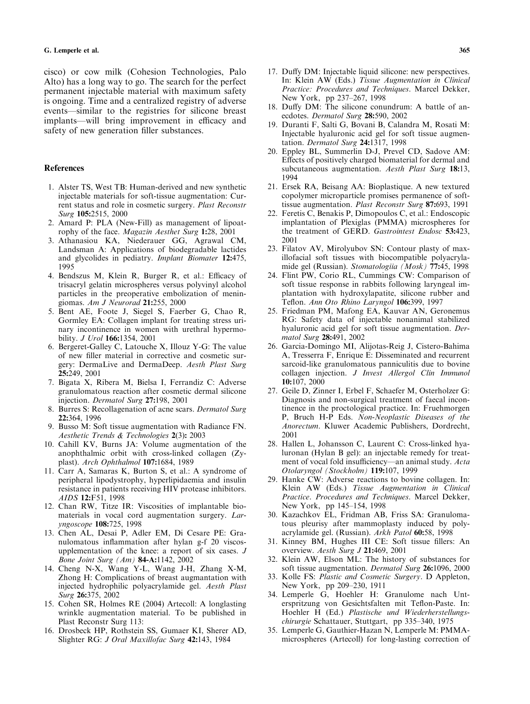cisco) or cow milk(Cohesion Technologies, Palo Alto) has a long way to go. The search for the perfect permanent injectable material with maximum safety is ongoing. Time and a centralized registry of adverse events—similar to the registries for silicone breast implants—will bring improvement in efficacy and safety of new generation filler substances.

#### **References**

- 1. Alster TS, West TB: Human-derived and new synthetic injectable materials for soft-tissue augmentation: Current status and role in cosmetic surgery. Plast Reconstr Surg 105:2515, 2000
- 2. Amard P: PLA (New-Fill) as management of lipoatrophy of the face. Magazin Aesthet Surg 1:28, 2001
- 3. Athanasiou KA, Niederauer GG, Agrawal CM, Landsman A: Applications of biodegradable lactides and glycolides in pediatry. Implant Biomater 12:475, 1995
- 4. Bendszus M, Klein R, Burger R, et al.: Efficacy of trisacryl gelatin microspheres versus polyvinyl alcohol particles in the preoperative embolization of meningiomas. Am J Neurorad 21:255, 2000
- 5. Bent AE, Foote J, Siegel S, Faerber G, Chao R, Gormley EA: Collagen implant for treating stress urinary incontinence in women with urethral hypermobility. *J Urol* **166:**1354, 2001
- 6. Bergeret-Galley C, Latouche X, Illouz Y-G: The value of new filler material in corrective and cosmetic surgery: DermaLive and DermaDeep. Aesth Plast Surg 25:249, 2001
- 7. Bigata X, Ribera M, Bielsa I, Ferrandiz C: Adverse granulomatous reaction after cosmetic dermal silicone injection. Dermatol Surg 27:198, 2001
- 8. Burres S: Recollagenation of acne scars. Dermatol Surg 22:364, 1996
- 9. Busso M: Soft tissue augmentation with Radiance FN. Aesthetic Trends & Technologies 2(3): 2003
- 10. Cahill KV, Burns JA: Volume augmentation of the anophthalmic orbit with cross-linked collagen (Zyplast). Arch Ophthalmol 107:1684, 1989
- 11. Carr A, Samaras K, Burton S, et al.: A syndrome of peripheral lipodystrophy, hyperlipidaemia and insulin resistance in patients receiving HIV protease inhibitors. AIDS 12:F51, 1998
- 12. Chan RW, Titze IR: Viscosities of implantable biomaterials in vocal cord augmentation surgery. Laryngoscope 108:725, 1998
- 13. Chen AL, Desai P, Adler EM, Di Cesare PE: Granulomatous inflammation after hylan g-f 20 viscosupplementation of the knee: a report of six cases. J Bone Joint Surg (Am) 84-A:1142, 2002
- 14. Cheng N-X, Wang Y-L, Wang J-H, Zhang X-M, Zhong H: Complications of breast augmantation with injected hydrophilic polyacrylamide gel. Aesth Plast Surg 26:375, 2002
- 15. Cohen SR, Holmes RE (2004) Artecoll: A longlasting wrinkle augmentation material. To be published in Plast Reconstr Surg 113:
- 16. DrosbeckHP, Rothstein SS, Gumaer KI, Sherer AD, Slighter RG: J Oral Maxillofac Surg 42:143, 1984
- 17. Duffy DM: Injectable liquid silicone: new perspectives. In: Klein AW (Eds.) Tissue Augmentation in Clinical Practice: Procedures and Techniques. Marcel Dekker, New York, pp 237–267, 1998
- 18. Duffy DM: The silicone conundrum: A battle of anecdotes. Dermatol Surg 28:590, 2002
- 19. Duranti F, Salti G, Bovani B, Calandra M, Rosati M: Injectable hyaluronic acid gel for soft tissue augmentation. Dermatol Surg 24:1317, 1998
- 20. Eppley BL, Summerlin D-J, Prevel CD, Sadove AM: Effects of positively charged biomaterial for dermal and subcutaneous augmentation. Aesth Plast Surg 18:13, 1994
- 21. ErsekRA, Beisang AA: Bioplastique. A new textured copolymer microparticle promises permanence of softtissue augmentation. Plast Reconstr Surg 87:693, 1991
- 22. Feretis C, Benakis P, Dimopoulos C, et al.: Endoscopic implantation of Plexiglas (PMMA) microspheres for the treatment of GERD. Gastrointest Endosc 53:423, 2001
- 23. Filatov AV, Mirolyubov SN: Contour plasty of maxillofacial soft tissues with biocompatible polyacrylamide gel (Russian). Stomatologiia (Mosk) 77:45, 1998
- 24. Flint PW, Corio RL, Cummings CW: Comparison of soft tissue response in rabbits following laryngeal implantation with hydroxylapatite, silicone rubber and Teflon. Ann Oto Rhino Laryngol 106:399, 1997
- 25. Friedman PM, Mafong EA, Kauvar AN, Geronemus RG: Safety data of injectable nonanimal stabilized hyaluronic acid gel for soft tissue augmentation. Dermatol Surg 28:491, 2002
- 26. Garcia-Domingo MI, Alijotas-Reig J, Cistero-Bahima A, Tresserra F, Enrique E: Disseminated and recurrent sarcoid-like granulomatous panniculitis due to bovine collagen injection. J Invest Allergol Clin Immunol 10:107, 2000
- 27. Geile D, Zinner I, Erbel F, Schaefer M, Osterholzer G: Diagnosis and non-surgical treatment of faecal incontinence in the proctological practice. In: Fruehmorgen P, Bruch H-P Eds. Non-Neoplastic Diseases of the Anorectum. Kluwer Academic Publishers, Dordrecht, 2001
- 28. Hallen L, Johansson C, Laurent C: Cross-linked hyaluronan (Hylan B gel): an injectable remedy for treatment of vocal fold insufficiency—an animal study. Acta Otolaryngol (Stockholm) 119:107, 1999
- 29. Hanke CW: Adverse reactions to bovine collagen. In: Klein AW (Eds.) Tissue Augmentation in Clinical Practice. Procedures and Techniques. Marcel Dekker, New York, pp 145–154, 1998
- 30. Kazachkov EL, Fridman AB, Friss SA: Granulomatous pleurisy after mammoplasty induced by polyacrylamide gel. (Russian). Arkh Patol 60:58, 1998
- 31. Kinney BM, Hughes III CE: Soft tissue fillers: An overview. Aesth Surg J 21:469, 2001
- 32. Klein AW, Elson ML: The history of substances for soft tissue augmentation. Dermatol Surg 26:1096, 2000
- 33. Kolle FS: Plastic and Cosmetic Surgery. D Appleton, New York, pp 209–230, 1911
- 34. Lemperle G, Hoehler H: Granulome nach Unterspritzung von Gesichtsfalten mit Teflon-Paste. In: Hoehler H (Ed.) Plastische und Wiederherstellungschirurgie Schattauer, Stuttgart, pp 335–340, 1975
- 35. Lemperle G, Gauthier-Hazan N, Lemperle M: PMMAmicrospheres (Artecoll) for long-lasting correction of